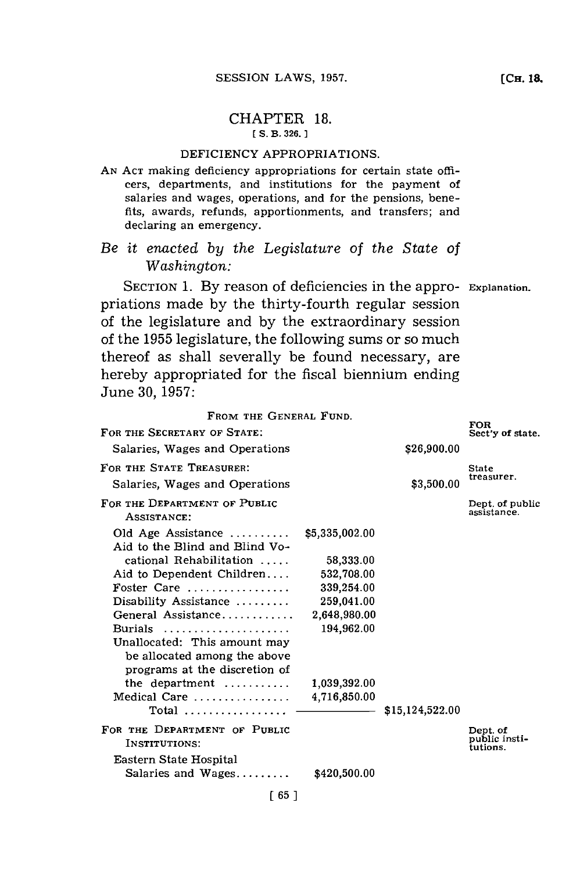## CHAPTER **18. [ S. B. 326.]1**

## DEFICIENCY APPROPRIATIONS.

**AN ACT** making deficiency appropriations for certain state officers, departments, and institutions for the payment of salaries and wages, operations, and for the pensions, benefits, awards, refunds, apportionments, and transfers; and declaring an emergency.

## *Be it enacted by the Legislature of the State of Washington:*

SECTION **1. By** reason of deficiencies in the appro- **Explanation.** priations made **by** the thirty-fourth regular session of the legislature and **by** the extraordinary session of the **1955** legislature, the following sums or so much thereof as shall severally be found necessary, are hereby appropriated for the fiscal biennium ending June **30, 1957:**

| FROM THE GENERAL FUND.                                       |              |                 |                                       |
|--------------------------------------------------------------|--------------|-----------------|---------------------------------------|
| FOR THE SECRETARY OF STATE:                                  |              |                 | <b>FOR</b><br>Sect'y of state.        |
| Salaries, Wages and Operations                               |              | \$26,900.00     |                                       |
| FOR THE STATE TREASURER:                                     |              |                 | State                                 |
| Salaries, Wages and Operations                               |              | \$3,500.00      | treasurer.                            |
| FOR THE DEPARTMENT OF PUBLIC<br>ASSISTANCE:                  |              |                 | Dept. of public<br>assistance.        |
| Old Age Assistance $$5,335,002.00$                           |              |                 |                                       |
| Aid to the Blind and Blind Vo-                               |              |                 |                                       |
| cational Rehabilitation                                      | 58,333.00    |                 |                                       |
| Aid to Dependent Children                                    | 532,708.00   |                 |                                       |
| Foster Care                                                  | 339,254.00   |                 |                                       |
| Disability Assistance                                        | 259,041.00   |                 |                                       |
| General Assistance                                           | 2,648,980.00 |                 |                                       |
| Burials                                                      | 194,962.00   |                 |                                       |
| Unallocated: This amount may<br>be allocated among the above |              |                 |                                       |
| programs at the discretion of                                |              |                 |                                       |
| the department $\dots\dots\dots$                             | 1,039,392.00 |                 |                                       |
| Medical Care<br>Total                                        | 4,716,850.00 | \$15,124,522.00 |                                       |
| FOR THE DEPARTMENT OF PUBLIC<br>INSTITUTIONS:                |              |                 | Dept. of<br>public insti-<br>tutions. |
| Eastern State Hospital<br>Salaries and $Wages$               | \$420,500.00 |                 |                                       |